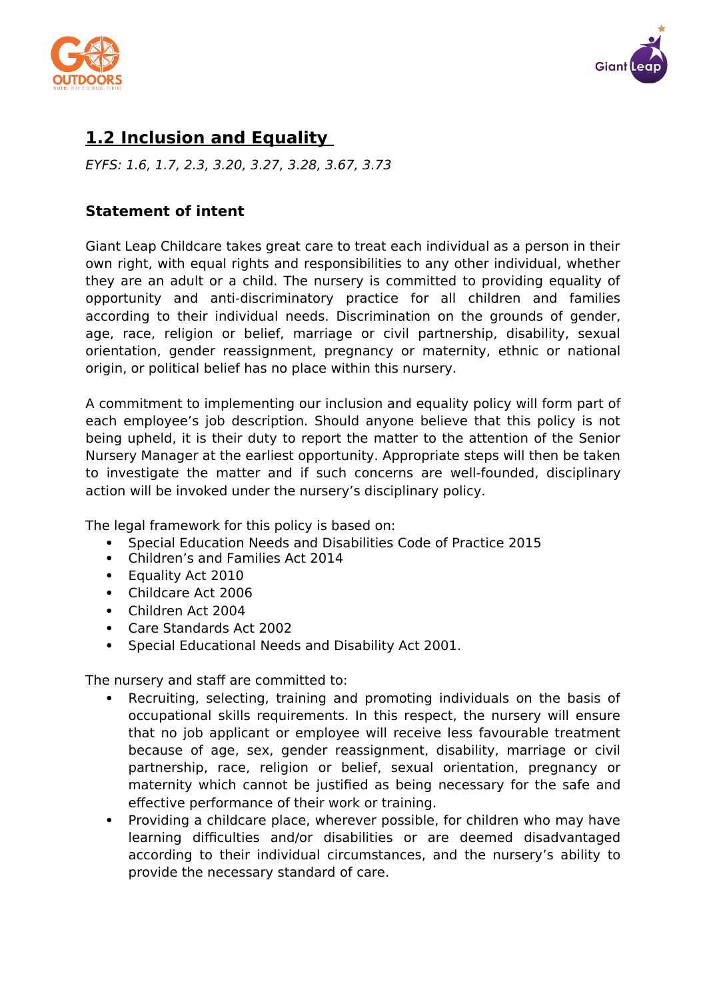



# **1.2 Inclusion and Equality**

EYFS: 1.6, 1.7, 2.3, 3.20, 3.27, 3.28, 3.67, 3.73

#### **Statement of intent**

Giant Leap Childcare takes great care to treat each individual as a person in their own right, with equal rights and responsibilities to any other individual, whether they are an adult or a child. The nursery is committed to providing equality of opportunity and anti-discriminatory practice for all children and families according to their individual needs. Discrimination on the grounds of gender, age, race, religion or belief, marriage or civil partnership, disability, sexual orientation, gender reassignment, pregnancy or maternity, ethnic or national origin, or political belief has no place within this nursery.

A commitment to implementing our inclusion and equality policy will form part of each employee's job description. Should anyone believe that this policy is not being upheld, it is their duty to report the matter to the attention of the Senior Nursery Manager at the earliest opportunity. Appropriate steps will then be taken to investigate the matter and if such concerns are well-founded, disciplinary action will be invoked under the nursery's disciplinary policy.

The legal framework for this policy is based on:

- Special Education Needs and Disabilities Code of Practice 2015
- Children's and Families Act 2014
- Equality Act 2010
- Childcare Act 2006
- Children Act 2004
- Care Standards Act 2002
- Special Educational Needs and Disability Act 2001.

The nursery and staff are committed to:

- Recruiting, selecting, training and promoting individuals on the basis of occupational skills requirements. In this respect, the nursery will ensure that no job applicant or employee will receive less favourable treatment because of age, sex, gender reassignment, disability, marriage or civil partnership, race, religion or belief, sexual orientation, pregnancy or maternity which cannot be justified as being necessary for the safe and effective performance of their work or training.
- Providing a childcare place, wherever possible, for children who may have learning difficulties and/or disabilities or are deemed disadvantaged according to their individual circumstances, and the nursery's ability to provide the necessary standard of care.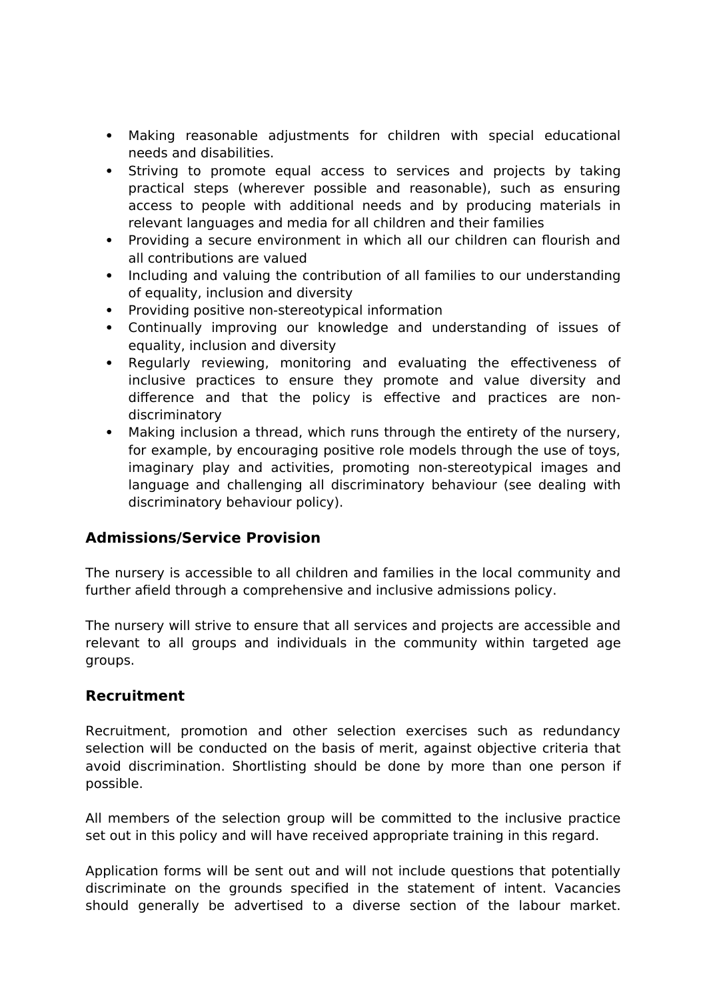- Making reasonable adjustments for children with special educational needs and disabilities.
- Striving to promote equal access to services and projects by taking practical steps (wherever possible and reasonable), such as ensuring access to people with additional needs and by producing materials in relevant languages and media for all children and their families
- Providing a secure environment in which all our children can flourish and all contributions are valued
- Including and valuing the contribution of all families to our understanding of equality, inclusion and diversity
- Providing positive non-stereotypical information
- Continually improving our knowledge and understanding of issues of equality, inclusion and diversity
- Regularly reviewing, monitoring and evaluating the effectiveness of inclusive practices to ensure they promote and value diversity and difference and that the policy is effective and practices are nondiscriminatory
- Making inclusion a thread, which runs through the entirety of the nursery, for example, by encouraging positive role models through the use of toys, imaginary play and activities, promoting non-stereotypical images and language and challenging all discriminatory behaviour (see dealing with discriminatory behaviour policy).

#### **Admissions/Service Provision**

The nursery is accessible to all children and families in the local community and further afield through a comprehensive and inclusive admissions policy.

The nursery will strive to ensure that all services and projects are accessible and relevant to all groups and individuals in the community within targeted age groups.

#### **Recruitment**

Recruitment, promotion and other selection exercises such as redundancy selection will be conducted on the basis of merit, against objective criteria that avoid discrimination. Shortlisting should be done by more than one person if possible.

All members of the selection group will be committed to the inclusive practice set out in this policy and will have received appropriate training in this regard.

Application forms will be sent out and will not include questions that potentially discriminate on the grounds specified in the statement of intent. Vacancies should generally be advertised to a diverse section of the labour market.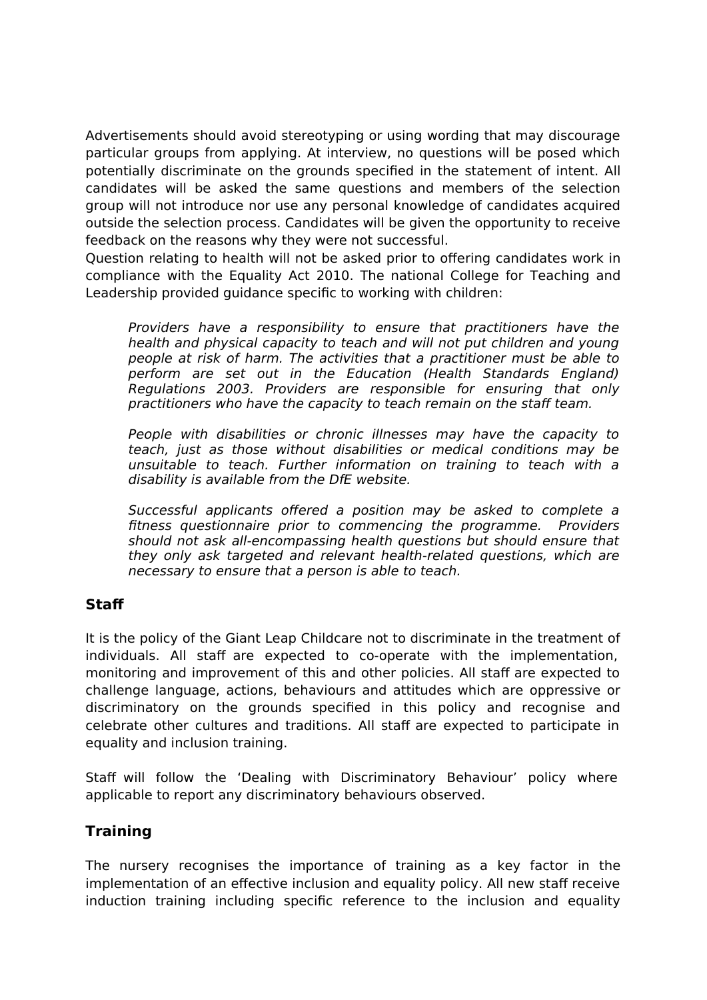Advertisements should avoid stereotyping or using wording that may discourage particular groups from applying. At interview, no questions will be posed which potentially discriminate on the grounds specified in the statement of intent. All candidates will be asked the same questions and members of the selection group will not introduce nor use any personal knowledge of candidates acquired outside the selection process. Candidates will be given the opportunity to receive feedback on the reasons why they were not successful.

Question relating to health will not be asked prior to offering candidates work in compliance with the Equality Act 2010. The national College for Teaching and Leadership provided guidance specific to working with children:

Providers have a responsibility to ensure that practitioners have the health and physical capacity to teach and will not put children and young people at risk of harm. The activities that a practitioner must be able to perform are set out in the Education (Health Standards England) Regulations 2003. Providers are responsible for ensuring that only practitioners who have the capacity to teach remain on the staff team.

People with disabilities or chronic illnesses may have the capacity to teach, just as those without disabilities or medical conditions may be unsuitable to teach. Further information on training to teach with a disability is available from the DfE website.

Successful applicants offered a position may be asked to complete a fitness questionnaire prior to commencing the programme. Providers should not ask all-encompassing health questions but should ensure that they only ask targeted and relevant health-related questions, which are necessary to ensure that a person is able to teach.

## **Staff**

It is the policy of the Giant Leap Childcare not to discriminate in the treatment of individuals. All staff are expected to co-operate with the implementation, monitoring and improvement of this and other policies. All staff are expected to challenge language, actions, behaviours and attitudes which are oppressive or discriminatory on the grounds specified in this policy and recognise and celebrate other cultures and traditions. All staff are expected to participate in equality and inclusion training.

Staff will follow the 'Dealing with Discriminatory Behaviour' policy where applicable to report any discriminatory behaviours observed.

## **Training**

The nursery recognises the importance of training as a key factor in the implementation of an effective inclusion and equality policy. All new staff receive induction training including specific reference to the inclusion and equality